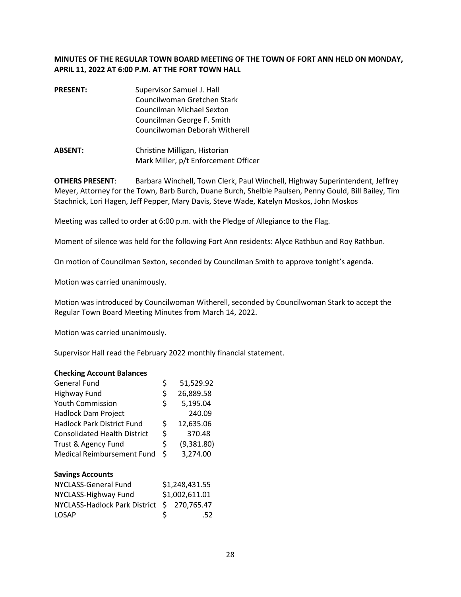### **MINUTES OF THE REGULAR TOWN BOARD MEETING OF THE TOWN OF FORT ANN HELD ON MONDAY, APRIL 11, 2022 AT 6:00 P.M. AT THE FORT TOWN HALL**

| <b>PRESENT:</b> | Supervisor Samuel J. Hall      |
|-----------------|--------------------------------|
|                 | Councilwoman Gretchen Stark    |
|                 | Councilman Michael Sexton      |
|                 | Councilman George F. Smith     |
|                 | Councilwoman Deborah Witherell |
|                 |                                |

**ABSENT:** Christine Milligan, Historian Mark Miller, p/t Enforcement Officer

**OTHERS PRESENT**: Barbara Winchell, Town Clerk, Paul Winchell, Highway Superintendent, Jeffrey Meyer, Attorney for the Town, Barb Burch, Duane Burch, Shelbie Paulsen, Penny Gould, Bill Bailey, Tim Stachnick, Lori Hagen, Jeff Pepper, Mary Davis, Steve Wade, Katelyn Moskos, John Moskos

Meeting was called to order at 6:00 p.m. with the Pledge of Allegiance to the Flag.

Moment of silence was held for the following Fort Ann residents: Alyce Rathbun and Roy Rathbun.

On motion of Councilman Sexton, seconded by Councilman Smith to approve tonight's agenda.

Motion was carried unanimously.

Motion was introduced by Councilwoman Witherell, seconded by Councilwoman Stark to accept the Regular Town Board Meeting Minutes from March 14, 2022.

Motion was carried unanimously.

Supervisor Hall read the February 2022 monthly financial statement.

#### **Checking Account Balances**

| <b>General Fund</b>                  | \$             | 51,529.92      |
|--------------------------------------|----------------|----------------|
| Highway Fund                         | \$             | 26,889.58      |
| <b>Youth Commission</b>              | \$             | 5,195.04       |
| <b>Hadlock Dam Project</b>           |                | 240.09         |
| <b>Hadlock Park District Fund</b>    | \$             | 12,635.06      |
| <b>Consolidated Health District</b>  | \$             | 370.48         |
| Trust & Agency Fund                  | \$             | (9,381.80)     |
| <b>Medical Reimbursement Fund</b>    | \$             | 3,274.00       |
| <b>Savings Accounts</b>              |                |                |
| NYCLASS-General Fund                 | \$1,248,431.55 |                |
| NYCLASS-Highway Fund                 |                | \$1,002,611.01 |
| <b>NYCLASS-Hadlock Park District</b> | Ś              | 270,765.47     |
| LOSAP                                |                | .52            |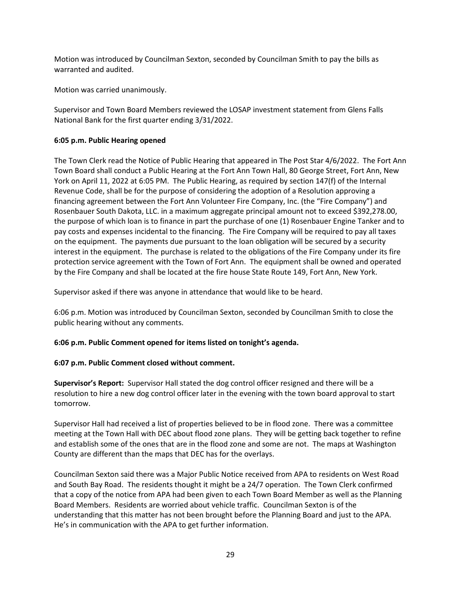Motion was introduced by Councilman Sexton, seconded by Councilman Smith to pay the bills as warranted and audited.

Motion was carried unanimously.

Supervisor and Town Board Members reviewed the LOSAP investment statement from Glens Falls National Bank for the first quarter ending 3/31/2022.

### **6:05 p.m. Public Hearing opened**

The Town Clerk read the Notice of Public Hearing that appeared in The Post Star 4/6/2022. The Fort Ann Town Board shall conduct a Public Hearing at the Fort Ann Town Hall, 80 George Street, Fort Ann, New York on April 11, 2022 at 6:05 PM. The Public Hearing, as required by section 147(f) of the Internal Revenue Code, shall be for the purpose of considering the adoption of a Resolution approving a financing agreement between the Fort Ann Volunteer Fire Company, Inc. (the "Fire Company") and Rosenbauer South Dakota, LLC. in a maximum aggregate principal amount not to exceed \$392,278.00, the purpose of which loan is to finance in part the purchase of one (1) Rosenbauer Engine Tanker and to pay costs and expenses incidental to the financing. The Fire Company will be required to pay all taxes on the equipment. The payments due pursuant to the loan obligation will be secured by a security interest in the equipment. The purchase is related to the obligations of the Fire Company under its fire protection service agreement with the Town of Fort Ann. The equipment shall be owned and operated by the Fire Company and shall be located at the fire house State Route 149, Fort Ann, New York.

Supervisor asked if there was anyone in attendance that would like to be heard.

6:06 p.m. Motion was introduced by Councilman Sexton, seconded by Councilman Smith to close the public hearing without any comments.

**6:06 p.m. Public Comment opened for items listed on tonight's agenda.** 

### **6:07 p.m. Public Comment closed without comment.**

**Supervisor's Report:** Supervisor Hall stated the dog control officer resigned and there will be a resolution to hire a new dog control officer later in the evening with the town board approval to start tomorrow.

Supervisor Hall had received a list of properties believed to be in flood zone. There was a committee meeting at the Town Hall with DEC about flood zone plans. They will be getting back together to refine and establish some of the ones that are in the flood zone and some are not. The maps at Washington County are different than the maps that DEC has for the overlays.

Councilman Sexton said there was a Major Public Notice received from APA to residents on West Road and South Bay Road. The residents thought it might be a 24/7 operation. The Town Clerk confirmed that a copy of the notice from APA had been given to each Town Board Member as well as the Planning Board Members. Residents are worried about vehicle traffic. Councilman Sexton is of the understanding that this matter has not been brought before the Planning Board and just to the APA. He's in communication with the APA to get further information.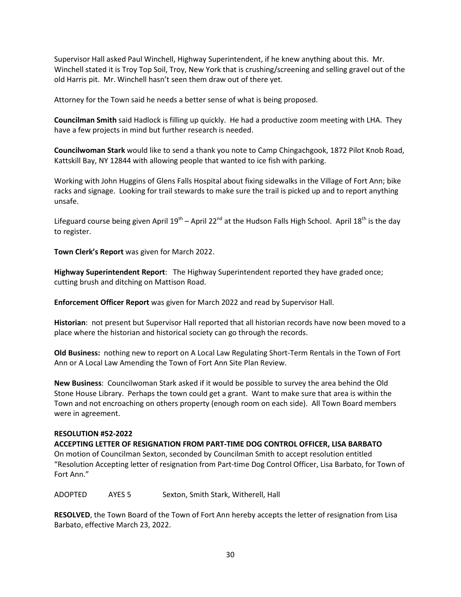Supervisor Hall asked Paul Winchell, Highway Superintendent, if he knew anything about this. Mr. Winchell stated it is Troy Top Soil, Troy, New York that is crushing/screening and selling gravel out of the old Harris pit. Mr. Winchell hasn't seen them draw out of there yet.

Attorney for the Town said he needs a better sense of what is being proposed.

**Councilman Smith** said Hadlock is filling up quickly. He had a productive zoom meeting with LHA. They have a few projects in mind but further research is needed.

**Councilwoman Stark** would like to send a thank you note to Camp Chingachgook, 1872 Pilot Knob Road, Kattskill Bay, NY 12844 with allowing people that wanted to ice fish with parking.

Working with John Huggins of Glens Falls Hospital about fixing sidewalks in the Village of Fort Ann; bike racks and signage. Looking for trail stewards to make sure the trail is picked up and to report anything unsafe.

Lifeguard course being given April  $19^{th}$  – April 22<sup>nd</sup> at the Hudson Falls High School. April  $18^{th}$  is the day to register.

**Town Clerk's Report** was given for March 2022.

**Highway Superintendent Report**: The Highway Superintendent reported they have graded once; cutting brush and ditching on Mattison Road.

**Enforcement Officer Report** was given for March 2022 and read by Supervisor Hall.

**Historian**: not present but Supervisor Hall reported that all historian records have now been moved to a place where the historian and historical society can go through the records.

**Old Business:** nothing new to report on A Local Law Regulating Short-Term Rentals in the Town of Fort Ann or A Local Law Amending the Town of Fort Ann Site Plan Review.

**New Business**: Councilwoman Stark asked if it would be possible to survey the area behind the Old Stone House Library. Perhaps the town could get a grant. Want to make sure that area is within the Town and not encroaching on others property (enough room on each side). All Town Board members were in agreement.

### **RESOLUTION #52-2022**

**ACCEPTING LETTER OF RESIGNATION FROM PART-TIME DOG CONTROL OFFICER, LISA BARBATO**  On motion of Councilman Sexton, seconded by Councilman Smith to accept resolution entitled "Resolution Accepting letter of resignation from Part-time Dog Control Officer, Lisa Barbato, for Town of Fort Ann."

ADOPTED AYES 5 Sexton, Smith Stark, Witherell, Hall

**RESOLVED**, the Town Board of the Town of Fort Ann hereby accepts the letter of resignation from Lisa Barbato, effective March 23, 2022.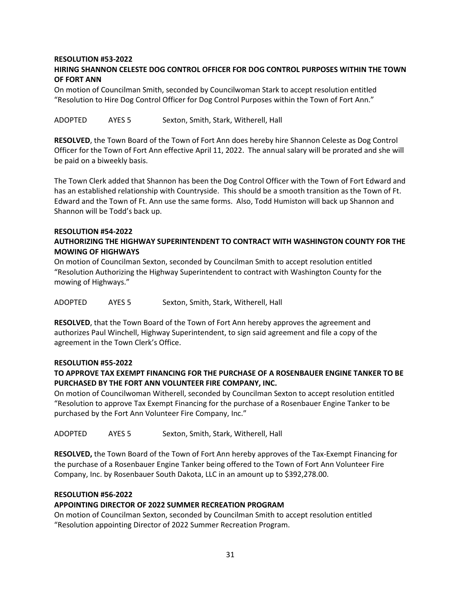# **RESOLUTION #53-2022**

## **HIRING SHANNON CELESTE DOG CONTROL OFFICER FOR DOG CONTROL PURPOSES WITHIN THE TOWN OF FORT ANN**

On motion of Councilman Smith, seconded by Councilwoman Stark to accept resolution entitled "Resolution to Hire Dog Control Officer for Dog Control Purposes within the Town of Fort Ann."

ADOPTED AYES 5 Sexton, Smith, Stark, Witherell, Hall

**RESOLVED**, the Town Board of the Town of Fort Ann does hereby hire Shannon Celeste as Dog Control Officer for the Town of Fort Ann effective April 11, 2022. The annual salary will be prorated and she will be paid on a biweekly basis.

The Town Clerk added that Shannon has been the Dog Control Officer with the Town of Fort Edward and has an established relationship with Countryside. This should be a smooth transition as the Town of Ft. Edward and the Town of Ft. Ann use the same forms. Also, Todd Humiston will back up Shannon and Shannon will be Todd's back up.

#### **RESOLUTION #54-2022**

## **AUTHORIZING THE HIGHWAY SUPERINTENDENT TO CONTRACT WITH WASHINGTON COUNTY FOR THE MOWING OF HIGHWAYS**

On motion of Councilman Sexton, seconded by Councilman Smith to accept resolution entitled "Resolution Authorizing the Highway Superintendent to contract with Washington County for the mowing of Highways."

ADOPTED AYES 5 Sexton, Smith, Stark, Witherell, Hall

**RESOLVED**, that the Town Board of the Town of Fort Ann hereby approves the agreement and authorizes Paul Winchell, Highway Superintendent, to sign said agreement and file a copy of the agreement in the Town Clerk's Office.

### **RESOLUTION #55-2022**

## **TO APPROVE TAX EXEMPT FINANCING FOR THE PURCHASE OF A ROSENBAUER ENGINE TANKER TO BE PURCHASED BY THE FORT ANN VOLUNTEER FIRE COMPANY, INC.**

On motion of Councilwoman Witherell, seconded by Councilman Sexton to accept resolution entitled "Resolution to approve Tax Exempt Financing for the purchase of a Rosenbauer Engine Tanker to be purchased by the Fort Ann Volunteer Fire Company, Inc."

ADOPTED AYES 5 Sexton, Smith, Stark, Witherell, Hall

**RESOLVED,** the Town Board of the Town of Fort Ann hereby approves of the Tax-Exempt Financing for the purchase of a Rosenbauer Engine Tanker being offered to the Town of Fort Ann Volunteer Fire Company, Inc. by Rosenbauer South Dakota, LLC in an amount up to \$392,278.00.

#### **RESOLUTION #56-2022**

### **APPOINTING DIRECTOR OF 2022 SUMMER RECREATION PROGRAM**

On motion of Councilman Sexton, seconded by Councilman Smith to accept resolution entitled "Resolution appointing Director of 2022 Summer Recreation Program.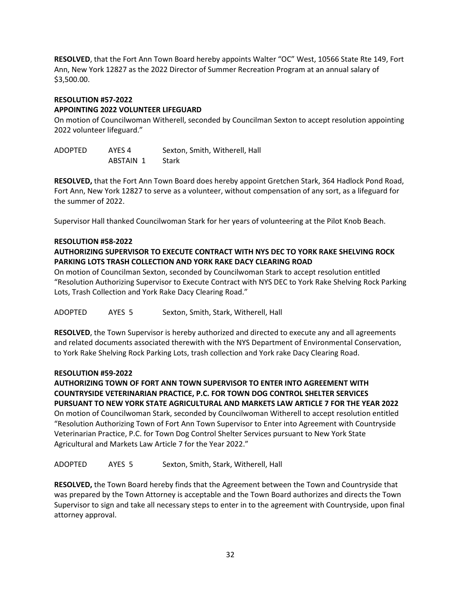**RESOLVED**, that the Fort Ann Town Board hereby appoints Walter "OC" West, 10566 State Rte 149, Fort Ann, New York 12827 as the 2022 Director of Summer Recreation Program at an annual salary of \$3,500.00.

#### **RESOLUTION #57-2022 APPOINTING 2022 VOLUNTEER LIFEGUARD**

On motion of Councilwoman Witherell, seconded by Councilman Sexton to accept resolution appointing 2022 volunteer lifeguard."

ADOPTED AYES 4 Sexton, Smith, Witherell, Hall ABSTAIN 1 Stark

**RESOLVED,** that the Fort Ann Town Board does hereby appoint Gretchen Stark, 364 Hadlock Pond Road, Fort Ann, New York 12827 to serve as a volunteer, without compensation of any sort, as a lifeguard for the summer of 2022.

Supervisor Hall thanked Councilwoman Stark for her years of volunteering at the Pilot Knob Beach.

### **RESOLUTION #58-2022**

## **AUTHORIZING SUPERVISOR TO EXECUTE CONTRACT WITH NYS DEC TO YORK RAKE SHELVING ROCK PARKING LOTS TRASH COLLECTION AND YORK RAKE DACY CLEARING ROAD**

On motion of Councilman Sexton, seconded by Councilwoman Stark to accept resolution entitled "Resolution Authorizing Supervisor to Execute Contract with NYS DEC to York Rake Shelving Rock Parking Lots, Trash Collection and York Rake Dacy Clearing Road."

ADOPTED AYES 5 Sexton, Smith, Stark, Witherell, Hall

**RESOLVED**, the Town Supervisor is hereby authorized and directed to execute any and all agreements and related documents associated therewith with the NYS Department of Environmental Conservation, to York Rake Shelving Rock Parking Lots, trash collection and York rake Dacy Clearing Road.

### **RESOLUTION #59-2022**

**AUTHORIZING TOWN OF FORT ANN TOWN SUPERVISOR TO ENTER INTO AGREEMENT WITH COUNTRYSIDE VETERINARIAN PRACTICE, P.C. FOR TOWN DOG CONTROL SHELTER SERVICES PURSUANT TO NEW YORK STATE AGRICULTURAL AND MARKETS LAW ARTICLE 7 FOR THE YEAR 2022**  On motion of Councilwoman Stark, seconded by Councilwoman Witherell to accept resolution entitled "Resolution Authorizing Town of Fort Ann Town Supervisor to Enter into Agreement with Countryside Veterinarian Practice, P.C. for Town Dog Control Shelter Services pursuant to New York State Agricultural and Markets Law Article 7 for the Year 2022."

ADOPTED AYES 5 Sexton, Smith, Stark, Witherell, Hall

**RESOLVED,** the Town Board hereby finds that the Agreement between the Town and Countryside that was prepared by the Town Attorney is acceptable and the Town Board authorizes and directs the Town Supervisor to sign and take all necessary steps to enter in to the agreement with Countryside, upon final attorney approval.